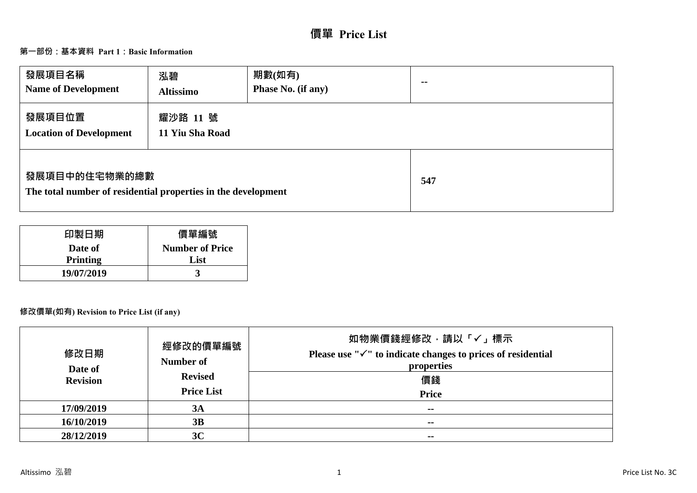# **價單 Price List**

# **第一部份:基本資料 Part 1:Basic Information**

| 發展項目名稱<br><b>Name of Development</b>                                           | 泓碧<br><b>Altissimo</b>      | 期數(如有)<br>Phase No. (if any) | $- -$ |
|--------------------------------------------------------------------------------|-----------------------------|------------------------------|-------|
| 發展項目位置<br><b>Location of Development</b>                                       | 耀沙路 11 號<br>11 Yiu Sha Road |                              |       |
| 發展項目中的住宅物業的總數<br>The total number of residential properties in the development |                             | 547                          |       |

| 印製日期            | 價單編號                   |
|-----------------|------------------------|
| Date of         | <b>Number of Price</b> |
| <b>Printing</b> | List                   |
| 19/07/2019      |                        |

## **修改價單(如有) Revision to Price List (if any)**

| 修改日期<br>Date of<br><b>Revision</b> | 經修改的價單編號<br>Number of<br><b>Revised</b><br><b>Price List</b> | 如物業價錢經修改,請以「√」標示<br>Please use " $\checkmark$ " to indicate changes to prices of residential<br>properties<br>價錢<br><b>Price</b> |
|------------------------------------|--------------------------------------------------------------|----------------------------------------------------------------------------------------------------------------------------------|
| 17/09/2019                         | 3A                                                           | $- -$                                                                                                                            |
| 16/10/2019                         | 3B                                                           | $\sim$ $\sim$                                                                                                                    |
| 28/12/2019                         | 3C                                                           | $\sim$                                                                                                                           |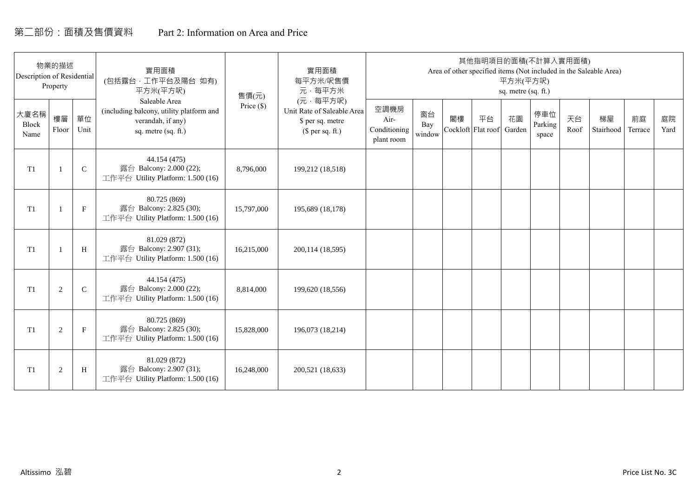# 第二部份:面積及售價資料 Part 2: Information on Area and Price

| Description of Residential | 物業的描述<br>Property |             | 實用面積<br>(包括露台,工作平台及陽台 如有)<br>平方米(平方呎)                                                                 | 售價(元)        | 實用面積<br>每平方米/呎售價<br>元·每平方米                                                     |                                            |                     |    | 其他指明項目的面積(不計算入實用面積)      | 平方米(平方呎)<br>sq. metre (sq. ft.) |                         |            | Area of other specified items (Not included in the Saleable Area) |               |            |
|----------------------------|-------------------|-------------|-------------------------------------------------------------------------------------------------------|--------------|--------------------------------------------------------------------------------|--------------------------------------------|---------------------|----|--------------------------|---------------------------------|-------------------------|------------|-------------------------------------------------------------------|---------------|------------|
| 大廈名稱<br>Block<br>Name      | 樓層<br>Floor       | 單位<br>Unit  | Saleable Area<br>(including balcony, utility platform and<br>verandah, if any)<br>sq. metre (sq. ft.) | Price $(\$)$ | (元·每平方呎)<br>Unit Rate of Saleable Area<br>\$ per sq. metre<br>$$$ per sq. ft.) | 空調機房<br>Air-<br>Conditioning<br>plant room | 窗台<br>Bay<br>window | 閣樓 | 平台<br>Cockloft Flat roof | 花園<br>Garden                    | 停車位<br>Parking<br>space | 天台<br>Roof | 梯屋<br>Stairhood                                                   | 前庭<br>Terrace | 庭院<br>Yard |
| T <sub>1</sub>             |                   | $\mathsf C$ | 44.154 (475)<br>露台 Balcony: 2.000 (22);<br>工作平台 Utility Platform: 1.500 (16)                          | 8,796,000    | 199,212 (18,518)                                                               |                                            |                     |    |                          |                                 |                         |            |                                                                   |               |            |
| T <sub>1</sub>             |                   | $\mathbf F$ | 80.725 (869)<br>露台 Balcony: 2.825 (30);<br>工作平台 Utility Platform: 1.500 (16)                          | 15,797,000   | 195,689 (18,178)                                                               |                                            |                     |    |                          |                                 |                         |            |                                                                   |               |            |
| T <sub>1</sub>             |                   | H           | 81.029 (872)<br>露台 Balcony: 2.907 (31);<br>工作平台 Utility Platform: 1.500 (16)                          | 16,215,000   | 200,114 (18,595)                                                               |                                            |                     |    |                          |                                 |                         |            |                                                                   |               |            |
| T1                         | 2                 | $\mathbf C$ | 44.154 (475)<br>露台 Balcony: 2.000 (22);<br>工作平台 Utility Platform: 1.500 (16)                          | 8,814,000    | 199,620 (18,556)                                                               |                                            |                     |    |                          |                                 |                         |            |                                                                   |               |            |
| T1                         | 2                 | $\mathbf F$ | 80.725 (869)<br>露台 Balcony: 2.825 (30);<br>工作平台 Utility Platform: 1.500 (16)                          | 15,828,000   | 196,073 (18,214)                                                               |                                            |                     |    |                          |                                 |                         |            |                                                                   |               |            |
| T1                         | $\overline{2}$    | H           | 81.029 (872)<br>露台 Balcony: 2.907 (31);<br>工作平台 Utility Platform: 1.500 (16)                          | 16,248,000   | 200,521 (18,633)                                                               |                                            |                     |    |                          |                                 |                         |            |                                                                   |               |            |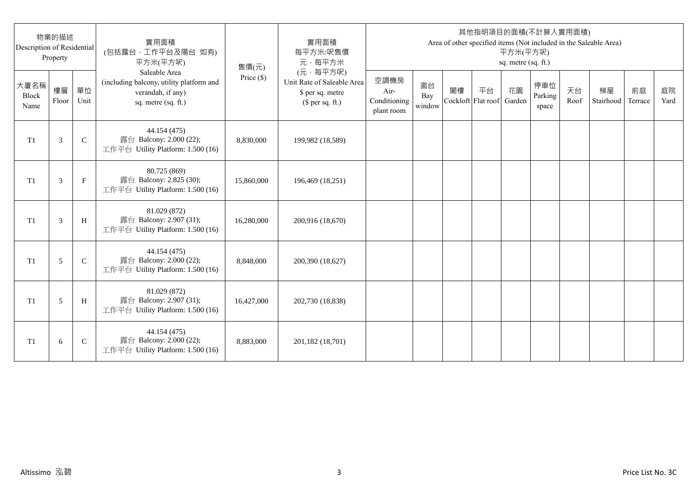| Description of Residential | 物業的描述<br>Property |               | 實用面積<br>(包括露台,工作平台及陽台 如有)<br>平方米(平方呎)                                                                 | 售價(元)      | 實用面積<br>每平方米/呎售價<br>元·每平方米                                                     |                                            |                     |    |                          | 平方米(平方呎)<br>sq. metre (sq. ft.) | 其他指明項目的面積(不計算入實用面積)     |            | Area of other specified items (Not included in the Saleable Area) |               |            |
|----------------------------|-------------------|---------------|-------------------------------------------------------------------------------------------------------|------------|--------------------------------------------------------------------------------|--------------------------------------------|---------------------|----|--------------------------|---------------------------------|-------------------------|------------|-------------------------------------------------------------------|---------------|------------|
| 大廈名稱<br>Block<br>Name      | 樓層<br>Floor       | 單位<br>Unit    | Saleable Area<br>(including balcony, utility platform and<br>verandah, if any)<br>sq. metre (sq. ft.) | Price (\$) | (元·每平方呎)<br>Unit Rate of Saleable Area<br>\$ per sq. metre<br>$$$ per sq. ft.) | 空調機房<br>Air-<br>Conditioning<br>plant room | 窗台<br>Bay<br>window | 閣樓 | 平台<br>Cockloft Flat roof | 花園<br>Garden                    | 停車位<br>Parking<br>space | 天台<br>Roof | 梯屋<br>Stairhood                                                   | 前庭<br>Terrace | 庭院<br>Yard |
| T1                         | 3                 | $\mathsf{C}$  | 44.154 (475)<br>露台 Balcony: 2.000 (22);<br>工作平台 Utility Platform: 1.500 (16)                          | 8,830,000  | 199,982 (18,589)                                                               |                                            |                     |    |                          |                                 |                         |            |                                                                   |               |            |
| T1                         | 3                 | $\mathbf{F}$  | 80.725 (869)<br>露台 Balcony: 2.825 (30);<br>工作平台 Utility Platform: 1.500 (16)                          | 15,860,000 | 196,469 (18,251)                                                               |                                            |                     |    |                          |                                 |                         |            |                                                                   |               |            |
| T1                         | 3                 | H             | 81.029 (872)<br>露台 Balcony: 2.907 (31);<br>工作平台 Utility Platform: 1.500 (16)                          | 16,280,000 | 200,916 (18,670)                                                               |                                            |                     |    |                          |                                 |                         |            |                                                                   |               |            |
| T1                         | 5                 | $\mathcal{C}$ | 44.154 (475)<br>露台 Balcony: 2.000 (22);<br>工作平台 Utility Platform: 1.500 (16)                          | 8,848,000  | 200,390 (18,627)                                                               |                                            |                     |    |                          |                                 |                         |            |                                                                   |               |            |
| T <sub>1</sub>             | 5                 | H             | 81.029 (872)<br>露台 Balcony: 2.907 (31);<br>工作平台 Utility Platform: 1.500 (16)                          | 16,427,000 | 202,730 (18,838)                                                               |                                            |                     |    |                          |                                 |                         |            |                                                                   |               |            |
| T <sub>1</sub>             | 6                 | $\mathsf{C}$  | 44.154 (475)<br>露台 Balcony: 2.000 (22);<br>工作平台 Utility Platform: 1.500 (16)                          | 8,883,000  | 201,182 (18,701)                                                               |                                            |                     |    |                          |                                 |                         |            |                                                                   |               |            |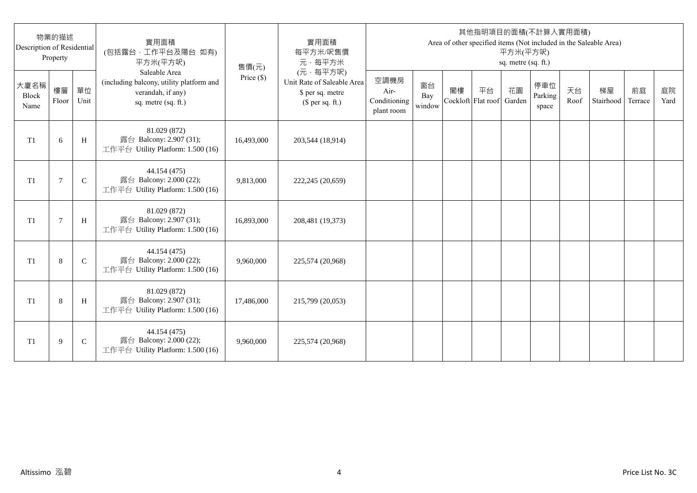| Description of Residential | 物業的描述<br>Property |              | 實用面積<br>(包括露台,工作平台及陽台 如有)<br>平方米(平方呎)                                                                 | 售價(元)      | 實用面積<br>每平方米/呎售價<br>元·每平方米                                                     |                                            |                     |                          |    | 平方米(平方呎)<br>sq. metre (sq. ft.) | 其他指明項目的面積(不計算入實用面積)     |            | Area of other specified items (Not included in the Saleable Area) |               |            |
|----------------------------|-------------------|--------------|-------------------------------------------------------------------------------------------------------|------------|--------------------------------------------------------------------------------|--------------------------------------------|---------------------|--------------------------|----|---------------------------------|-------------------------|------------|-------------------------------------------------------------------|---------------|------------|
| 大廈名稱<br>Block<br>Name      | 樓層<br>Floor       | 單位<br>Unit   | Saleable Area<br>(including balcony, utility platform and<br>verandah, if any)<br>sq. metre (sq. ft.) | Price (\$) | (元·每平方呎)<br>Unit Rate of Saleable Area<br>\$ per sq. metre<br>$$$ per sq. ft.) | 空調機房<br>Air-<br>Conditioning<br>plant room | 窗台<br>Bay<br>window | 閣樓<br>Cockloft Flat roof | 平台 | 花園<br>Garden                    | 停車位<br>Parking<br>space | 天台<br>Roof | 梯屋<br>Stairhood                                                   | 前庭<br>Terrace | 庭院<br>Yard |
| T <sub>1</sub>             | 6                 | H            | 81.029 (872)<br>露台 Balcony: 2.907 (31);<br>工作平台 Utility Platform: 1.500 (16)                          | 16,493,000 | 203,544 (18,914)                                                               |                                            |                     |                          |    |                                 |                         |            |                                                                   |               |            |
| T <sub>1</sub>             | 7                 | $\mathsf{C}$ | 44.154 (475)<br>露台 Balcony: 2.000 (22);<br>工作平台 Utility Platform: 1.500 (16)                          | 9,813,000  | 222,245 (20,659)                                                               |                                            |                     |                          |    |                                 |                         |            |                                                                   |               |            |
| T1                         | $\overline{7}$    | H            | 81.029 (872)<br>露台 Balcony: 2.907 (31);<br>工作平台 Utility Platform: 1.500 (16)                          | 16,893,000 | 208,481 (19,373)                                                               |                                            |                     |                          |    |                                 |                         |            |                                                                   |               |            |
| T1                         | 8                 | $\mathsf{C}$ | 44.154 (475)<br>露台 Balcony: 2.000 (22);<br>工作平台 Utility Platform: 1.500 (16)                          | 9,960,000  | 225,574 (20,968)                                                               |                                            |                     |                          |    |                                 |                         |            |                                                                   |               |            |
| T1                         | 8                 | H            | 81.029 (872)<br>露台 Balcony: 2.907 (31);<br>工作平台 Utility Platform: 1.500 (16)                          | 17,486,000 | 215,799 (20,053)                                                               |                                            |                     |                          |    |                                 |                         |            |                                                                   |               |            |
| T <sub>1</sub>             | 9                 | $\mathsf{C}$ | 44.154 (475)<br>露台 Balcony: 2.000 (22);<br>工作平台 Utility Platform: 1.500 (16)                          | 9,960,000  | 225,574 (20,968)                                                               |                                            |                     |                          |    |                                 |                         |            |                                                                   |               |            |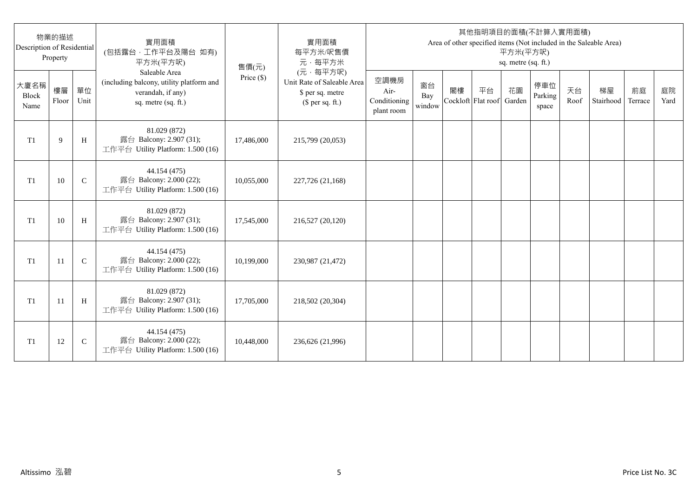| Description of Residential | 物業的描述<br>Property |              | 實用面積<br>(包括露台,工作平台及陽台 如有)<br>平方米(平方呎)                                                                 | 售價(元)      | 實用面積<br>每平方米/呎售價<br>元·每平方米                                                     |                                            |                     |                          |    | 平方米(平方呎)<br>sq. metre (sq. ft.) | 其他指明項目的面積(不計算入實用面積)     |            | Area of other specified items (Not included in the Saleable Area) |               |            |
|----------------------------|-------------------|--------------|-------------------------------------------------------------------------------------------------------|------------|--------------------------------------------------------------------------------|--------------------------------------------|---------------------|--------------------------|----|---------------------------------|-------------------------|------------|-------------------------------------------------------------------|---------------|------------|
| 大廈名稱<br>Block<br>Name      | 樓層<br>Floor       | 單位<br>Unit   | Saleable Area<br>(including balcony, utility platform and<br>verandah, if any)<br>sq. metre (sq. ft.) | Price (\$) | (元·每平方呎)<br>Unit Rate of Saleable Area<br>\$ per sq. metre<br>$$$ per sq. ft.) | 空調機房<br>Air-<br>Conditioning<br>plant room | 窗台<br>Bay<br>window | 閣樓<br>Cockloft Flat roof | 平台 | 花園<br>Garden                    | 停車位<br>Parking<br>space | 天台<br>Roof | 梯屋<br>Stairhood                                                   | 前庭<br>Terrace | 庭院<br>Yard |
| T <sub>1</sub>             | 9                 | H            | 81.029 (872)<br>露台 Balcony: 2.907 (31);<br>工作平台 Utility Platform: 1.500 (16)                          | 17,486,000 | 215,799 (20,053)                                                               |                                            |                     |                          |    |                                 |                         |            |                                                                   |               |            |
| T <sub>1</sub>             | 10                | $\mathsf{C}$ | 44.154 (475)<br>露台 Balcony: 2.000 (22);<br>工作平台 Utility Platform: 1.500 (16)                          | 10,055,000 | 227,726 (21,168)                                                               |                                            |                     |                          |    |                                 |                         |            |                                                                   |               |            |
| T1                         | 10                | H            | 81.029 (872)<br>露台 Balcony: 2.907 (31);<br>工作平台 Utility Platform: 1.500 (16)                          | 17,545,000 | 216,527 (20,120)                                                               |                                            |                     |                          |    |                                 |                         |            |                                                                   |               |            |
| T1                         | 11                | $\mathbf C$  | 44.154 (475)<br>露台 Balcony: 2.000 (22);<br>工作平台 Utility Platform: 1.500 (16)                          | 10,199,000 | 230,987 (21,472)                                                               |                                            |                     |                          |    |                                 |                         |            |                                                                   |               |            |
| T1                         | -11               | H            | 81.029 (872)<br>露台 Balcony: 2.907 (31);<br>工作平台 Utility Platform: 1.500 (16)                          | 17,705,000 | 218,502 (20,304)                                                               |                                            |                     |                          |    |                                 |                         |            |                                                                   |               |            |
| T <sub>1</sub>             | 12                | $\mathsf{C}$ | 44.154 (475)<br>露台 Balcony: 2.000 (22);<br>工作平台 Utility Platform: 1.500 (16)                          | 10,448,000 | 236,626 (21,996)                                                               |                                            |                     |                          |    |                                 |                         |            |                                                                   |               |            |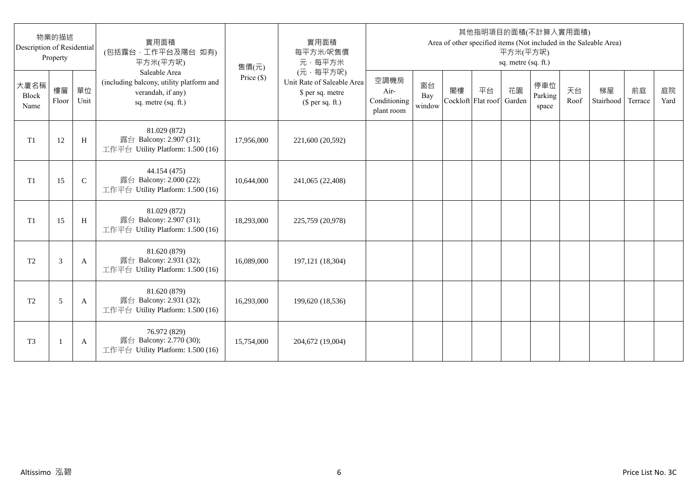| Description of Residential | 物業的描述<br>Property |              | 實用面積<br>(包括露台,工作平台及陽台 如有)<br>平方米(平方呎)                                                                 | 售價(元)      | 實用面積<br>每平方米/呎售價<br>元·每平方米                                                     |                                            |                     |                          |    | 平方米(平方呎)<br>sq. metre (sq. ft.) | 其他指明項目的面積(不計算入實用面積)     |            | Area of other specified items (Not included in the Saleable Area) |               |            |
|----------------------------|-------------------|--------------|-------------------------------------------------------------------------------------------------------|------------|--------------------------------------------------------------------------------|--------------------------------------------|---------------------|--------------------------|----|---------------------------------|-------------------------|------------|-------------------------------------------------------------------|---------------|------------|
| 大廈名稱<br>Block<br>Name      | 樓層<br>Floor       | 單位<br>Unit   | Saleable Area<br>(including balcony, utility platform and<br>verandah, if any)<br>sq. metre (sq. ft.) | Price (\$) | (元·每平方呎)<br>Unit Rate of Saleable Area<br>\$ per sq. metre<br>$$$ per sq. ft.) | 空調機房<br>Air-<br>Conditioning<br>plant room | 窗台<br>Bay<br>window | 閣樓<br>Cockloft Flat roof | 平台 | 花園<br>Garden                    | 停車位<br>Parking<br>space | 天台<br>Roof | 梯屋<br>Stairhood                                                   | 前庭<br>Terrace | 庭院<br>Yard |
| T1                         | 12                | H            | 81.029 (872)<br>露台 Balcony: 2.907 (31);<br>工作平台 Utility Platform: 1.500 (16)                          | 17,956,000 | 221,600 (20,592)                                                               |                                            |                     |                          |    |                                 |                         |            |                                                                   |               |            |
| T1                         | 15                | $\mathsf{C}$ | 44.154 (475)<br>露台 Balcony: 2.000 (22);<br>工作平台 Utility Platform: 1.500 (16)                          | 10,644,000 | 241,065 (22,408)                                                               |                                            |                     |                          |    |                                 |                         |            |                                                                   |               |            |
| T1                         | 15                | H            | 81.029 (872)<br>露台 Balcony: 2.907 (31);<br>工作平台 Utility Platform: 1.500 (16)                          | 18,293,000 | 225,759 (20,978)                                                               |                                            |                     |                          |    |                                 |                         |            |                                                                   |               |            |
| T <sub>2</sub>             | 3                 | A            | 81.620 (879)<br>露台 Balcony: 2.931 (32);<br>工作平台 Utility Platform: 1.500 (16)                          | 16,089,000 | 197, 121 (18, 304)                                                             |                                            |                     |                          |    |                                 |                         |            |                                                                   |               |            |
| T <sub>2</sub>             | 5                 | A            | 81.620 (879)<br>露台 Balcony: 2.931 (32);<br>工作平台 Utility Platform: 1.500 (16)                          | 16,293,000 | 199,620 (18,536)                                                               |                                            |                     |                          |    |                                 |                         |            |                                                                   |               |            |
| T <sub>3</sub>             |                   | A            | 76.972 (829)<br>露台 Balcony: 2.770 (30);<br>工作平台 Utility Platform: 1.500 (16)                          | 15,754,000 | 204,672 (19,004)                                                               |                                            |                     |                          |    |                                 |                         |            |                                                                   |               |            |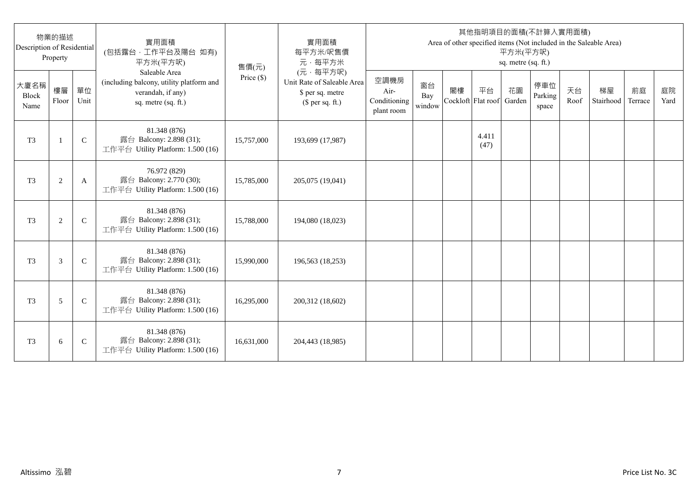| Description of Residential | 物業的描述<br>Property |               | 實用面積<br>(包括露台,工作平台及陽台 如有)<br>平方米(平方呎)                                                                 | 售價(元)      | 實用面積<br>每平方米/呎售價<br>元·每平方米                                                     |                                            |                     |                          |               | 平方米(平方呎)<br>sq. metre (sq. ft.) | 其他指明項目的面積(不計算入實用面積)     |            | Area of other specified items (Not included in the Saleable Area) |               |            |
|----------------------------|-------------------|---------------|-------------------------------------------------------------------------------------------------------|------------|--------------------------------------------------------------------------------|--------------------------------------------|---------------------|--------------------------|---------------|---------------------------------|-------------------------|------------|-------------------------------------------------------------------|---------------|------------|
| 大廈名稱<br>Block<br>Name      | 樓層<br>Floor       | 單位<br>Unit    | Saleable Area<br>(including balcony, utility platform and<br>verandah, if any)<br>sq. metre (sq. ft.) | Price (\$) | (元·每平方呎)<br>Unit Rate of Saleable Area<br>\$ per sq. metre<br>$$$ per sq. ft.) | 空調機房<br>Air-<br>Conditioning<br>plant room | 窗台<br>Bay<br>window | 閣樓<br>Cockloft Flat roof | 平台            | 花園<br>Garden                    | 停車位<br>Parking<br>space | 天台<br>Roof | 梯屋<br>Stairhood                                                   | 前庭<br>Terrace | 庭院<br>Yard |
| T <sub>3</sub>             | $\mathbf{1}$      | $\mathsf{C}$  | 81.348 (876)<br>露台 Balcony: 2.898 (31);<br>工作平台 Utility Platform: 1.500 (16)                          | 15,757,000 | 193,699 (17,987)                                                               |                                            |                     |                          | 4.411<br>(47) |                                 |                         |            |                                                                   |               |            |
| T <sub>3</sub>             | $\sqrt{2}$        | A             | 76.972 (829)<br>露台 Balcony: 2.770 (30);<br>工作平台 Utility Platform: 1.500 (16)                          | 15,785,000 | 205,075 (19,041)                                                               |                                            |                     |                          |               |                                 |                         |            |                                                                   |               |            |
| T <sub>3</sub>             | 2                 | $\mathcal{C}$ | 81.348 (876)<br>露台 Balcony: 2.898 (31);<br>工作平台 Utility Platform: 1.500 (16)                          | 15,788,000 | 194,080 (18,023)                                                               |                                            |                     |                          |               |                                 |                         |            |                                                                   |               |            |
| T <sub>3</sub>             | 3                 | $\mathcal{C}$ | 81.348 (876)<br>露台 Balcony: 2.898 (31);<br>工作平台 Utility Platform: 1.500 (16)                          | 15,990,000 | 196,563 (18,253)                                                               |                                            |                     |                          |               |                                 |                         |            |                                                                   |               |            |
| T <sub>3</sub>             | 5                 | $\mathsf{C}$  | 81.348 (876)<br>露台 Balcony: 2.898 (31);<br>工作平台 Utility Platform: 1.500 (16)                          | 16,295,000 | 200,312 (18,602)                                                               |                                            |                     |                          |               |                                 |                         |            |                                                                   |               |            |
| T <sub>3</sub>             | 6                 | $\mathsf{C}$  | 81.348 (876)<br>露台 Balcony: 2.898 (31);<br>工作平台 Utility Platform: 1.500 (16)                          | 16,631,000 | 204,443 (18,985)                                                               |                                            |                     |                          |               |                                 |                         |            |                                                                   |               |            |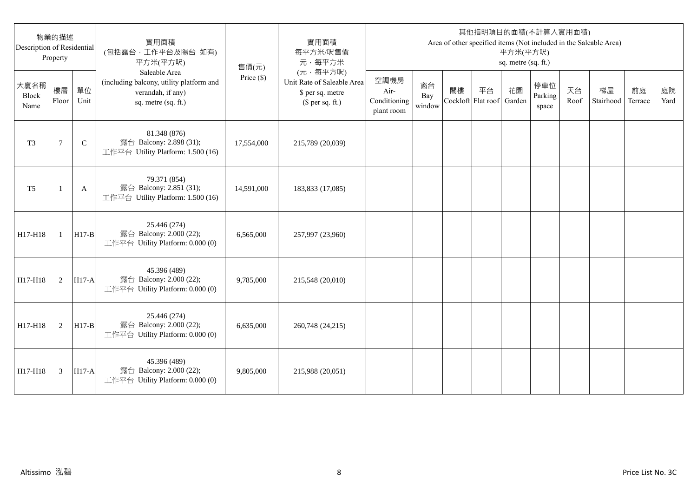| Description of Residential | 物業的描述<br>Property |              | 實用面積<br>(包括露台,工作平台及陽台 如有)<br>平方米(平方呎)                                                                 | 售價(元)        | 實用面積<br>每平方米/呎售價<br>元·每平方米                                                     |                                            |                     |                          |    | 平方米(平方呎)<br>sq. metre (sq. ft.) | 其他指明項目的面積(不計算入實用面積)     |            | Area of other specified items (Not included in the Saleable Area) |               |            |
|----------------------------|-------------------|--------------|-------------------------------------------------------------------------------------------------------|--------------|--------------------------------------------------------------------------------|--------------------------------------------|---------------------|--------------------------|----|---------------------------------|-------------------------|------------|-------------------------------------------------------------------|---------------|------------|
| 大廈名稱<br>Block<br>Name      | 樓層<br>Floor       | 單位<br>Unit   | Saleable Area<br>(including balcony, utility platform and<br>verandah, if any)<br>sq. metre (sq. ft.) | Price $(\$)$ | (元·每平方呎)<br>Unit Rate of Saleable Area<br>\$ per sq. metre<br>$$$ per sq. ft.) | 空調機房<br>Air-<br>Conditioning<br>plant room | 窗台<br>Bay<br>window | 閣樓<br>Cockloft Flat roof | 平台 | 花園<br>Garden                    | 停車位<br>Parking<br>space | 天台<br>Roof | 梯屋<br>Stairhood                                                   | 前庭<br>Terrace | 庭院<br>Yard |
| T <sub>3</sub>             | 7                 | $\mathsf{C}$ | 81.348 (876)<br>露台 Balcony: 2.898 (31);<br>工作平台 Utility Platform: 1.500 (16)                          | 17,554,000   | 215,789 (20,039)                                                               |                                            |                     |                          |    |                                 |                         |            |                                                                   |               |            |
| T <sub>5</sub>             | -1                | A            | 79.371 (854)<br>露台 Balcony: 2.851 (31);<br>工作平台 Utility Platform: 1.500 (16)                          | 14,591,000   | 183,833 (17,085)                                                               |                                            |                     |                          |    |                                 |                         |            |                                                                   |               |            |
| H17-H18                    | $\mathbf{1}$      | $H17-B$      | 25.446 (274)<br>露台 Balcony: 2.000 (22);<br>工作平台 Utility Platform: 0.000 (0)                           | 6,565,000    | 257,997 (23,960)                                                               |                                            |                     |                          |    |                                 |                         |            |                                                                   |               |            |
| H17-H18                    | 2                 | $H17-A$      | 45.396 (489)<br>露台 Balcony: 2.000 (22);<br>工作平台 Utility Platform: 0.000 (0)                           | 9,785,000    | 215,548 (20,010)                                                               |                                            |                     |                          |    |                                 |                         |            |                                                                   |               |            |
| H17-H18                    | 2                 | $H17-B$      | 25.446 (274)<br>露台 Balcony: 2.000 (22);<br>工作平台 Utility Platform: 0.000 (0)                           | 6,635,000    | 260,748 (24,215)                                                               |                                            |                     |                          |    |                                 |                         |            |                                                                   |               |            |
| H17-H18                    | 3                 | $H17-A$      | 45.396 (489)<br>露台 Balcony: 2.000 (22);<br>工作平台 Utility Platform: 0.000 (0)                           | 9,805,000    | 215,988 (20,051)                                                               |                                            |                     |                          |    |                                 |                         |            |                                                                   |               |            |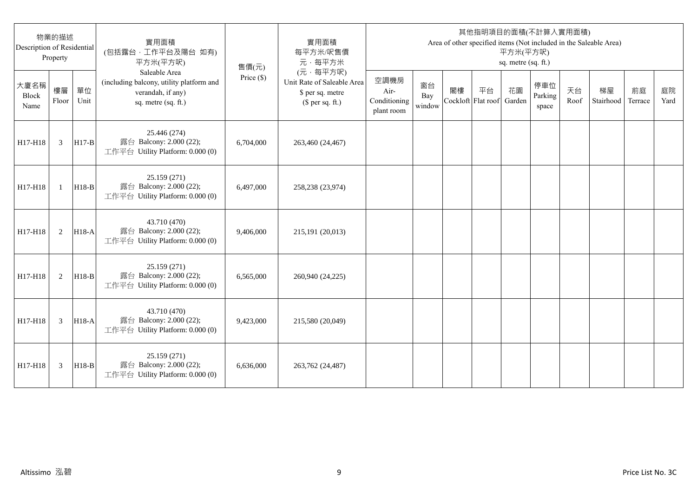| Description of Residential | 物業的描述<br>Property |            | 實用面積<br>(包括露台,工作平台及陽台 如有)<br>平方米(平方呎)                                                                 | 售價(元)        | 實用面積<br>每平方米/呎售價<br>元·每平方米                                                     |                                            |                     |                          |    | 平方米(平方呎)<br>sq. metre (sq. ft.) | 其他指明項目的面積(不計算入實用面積)     |            | Area of other specified items (Not included in the Saleable Area) |               |            |
|----------------------------|-------------------|------------|-------------------------------------------------------------------------------------------------------|--------------|--------------------------------------------------------------------------------|--------------------------------------------|---------------------|--------------------------|----|---------------------------------|-------------------------|------------|-------------------------------------------------------------------|---------------|------------|
| 大廈名稱<br>Block<br>Name      | 樓層<br>Floor       | 單位<br>Unit | Saleable Area<br>(including balcony, utility platform and<br>verandah, if any)<br>sq. metre (sq. ft.) | Price $(\$)$ | (元·每平方呎)<br>Unit Rate of Saleable Area<br>\$ per sq. metre<br>$$$ per sq. ft.) | 空調機房<br>Air-<br>Conditioning<br>plant room | 窗台<br>Bay<br>window | 閣樓<br>Cockloft Flat roof | 平台 | 花園<br>Garden                    | 停車位<br>Parking<br>space | 天台<br>Roof | 梯屋<br>Stairhood                                                   | 前庭<br>Terrace | 庭院<br>Yard |
| H17-H18                    | 3                 | $H17-B$    | 25.446 (274)<br>露台 Balcony: 2.000 (22);<br>工作平台 Utility Platform: 0.000 (0)                           | 6,704,000    | 263,460 (24,467)                                                               |                                            |                     |                          |    |                                 |                         |            |                                                                   |               |            |
| H17-H18                    | $\mathbf{1}$      | $H18-B$    | 25.159 (271)<br>露台 Balcony: 2.000 (22);<br>工作平台 Utility Platform: 0.000 (0)                           | 6.497,000    | 258,238 (23,974)                                                               |                                            |                     |                          |    |                                 |                         |            |                                                                   |               |            |
| H17-H18                    | 2                 | $H18-A$    | 43.710 (470)<br>露台 Balcony: 2.000 (22);<br>工作平台 Utility Platform: 0.000 (0)                           | 9,406,000    | 215,191 (20,013)                                                               |                                            |                     |                          |    |                                 |                         |            |                                                                   |               |            |
| H17-H18                    | 2                 | $H18-B$    | 25.159 (271)<br>露台 Balcony: 2.000 (22);<br>工作平台 Utility Platform: 0.000 (0)                           | 6,565,000    | 260,940 (24,225)                                                               |                                            |                     |                          |    |                                 |                         |            |                                                                   |               |            |
| H17-H18                    | 3                 | H18-A      | 43.710 (470)<br>露台 Balcony: 2.000 (22);<br>工作平台 Utility Platform: 0.000 (0)                           | 9,423,000    | 215,580 (20,049)                                                               |                                            |                     |                          |    |                                 |                         |            |                                                                   |               |            |
| H17-H18                    | 3                 | $H18-B$    | 25.159 (271)<br>露台 Balcony: 2.000 (22);<br>工作平台 Utility Platform: 0.000 (0)                           | 6.636,000    | 263,762 (24,487)                                                               |                                            |                     |                          |    |                                 |                         |            |                                                                   |               |            |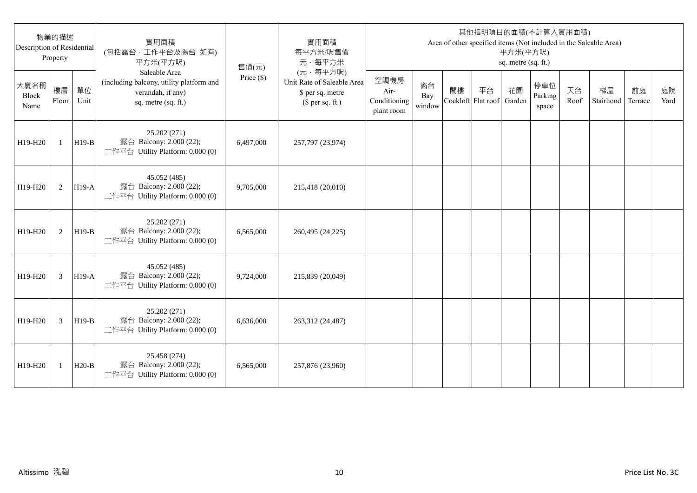| Description of Residential   | 物業的描述<br>Property |            | 實用面積<br>(包括露台,工作平台及陽台 如有)<br>平方米(平方呎)                                                                 | 售價(元)      | 實用面積<br>每平方米/呎售價<br>元·每平方米                                                     |                                            |                     |                          |    | 平方米(平方呎)<br>sq. metre (sq. ft.) | 其他指明項目的面積(不計算入實用面積)     |            | Area of other specified items (Not included in the Saleable Area) |               |            |
|------------------------------|-------------------|------------|-------------------------------------------------------------------------------------------------------|------------|--------------------------------------------------------------------------------|--------------------------------------------|---------------------|--------------------------|----|---------------------------------|-------------------------|------------|-------------------------------------------------------------------|---------------|------------|
| 大廈名稱<br><b>Block</b><br>Name | 樓層<br>Floor       | 單位<br>Unit | Saleable Area<br>(including balcony, utility platform and<br>verandah, if any)<br>sq. metre (sq. ft.) | Price (\$) | (元·每平方呎)<br>Unit Rate of Saleable Area<br>\$ per sq. metre<br>$$$ per sq. ft.) | 空調機房<br>Air-<br>Conditioning<br>plant room | 窗台<br>Bay<br>window | 閣樓<br>Cockloft Flat roof | 平台 | 花園<br>Garden                    | 停車位<br>Parking<br>space | 天台<br>Roof | 梯屋<br>Stairhood                                                   | 前庭<br>Terrace | 庭院<br>Yard |
| H19-H20                      | $\mathbf{1}$      | $H19-B$    | 25.202 (271)<br>露台 Balcony: 2.000 (22);<br>工作平台 Utility Platform: 0.000 (0)                           | 6,497,000  | 257,797 (23,974)                                                               |                                            |                     |                          |    |                                 |                         |            |                                                                   |               |            |
| H19-H20                      | 2                 | $H19-A$    | 45.052 (485)<br>露台 Balcony: 2.000 (22);<br>工作平台 Utility Platform: 0.000 (0)                           | 9,705,000  | 215,418 (20,010)                                                               |                                            |                     |                          |    |                                 |                         |            |                                                                   |               |            |
| H19-H20                      | 2                 | $H19-B$    | 25.202 (271)<br>露台 Balcony: 2.000 (22);<br>工作平台 Utility Platform: 0.000 (0)                           | 6,565,000  | 260,495 (24,225)                                                               |                                            |                     |                          |    |                                 |                         |            |                                                                   |               |            |
| H19-H20                      | 3                 | $H19-A$    | 45.052 (485)<br>露台 Balcony: 2.000 (22);<br>工作平台 Utility Platform: 0.000 (0)                           | 9,724,000  | 215,839 (20,049)                                                               |                                            |                     |                          |    |                                 |                         |            |                                                                   |               |            |
| H19-H20                      | 3                 | $H19-B$    | 25.202 (271)<br>露台 Balcony: 2.000 (22);<br>工作平台 Utility Platform: 0.000 (0)                           | 6,636,000  | 263,312 (24,487)                                                               |                                            |                     |                          |    |                                 |                         |            |                                                                   |               |            |
| H19-H20                      | 1                 | $H20-B$    | 25.458 (274)<br>露台 Balcony: 2.000 (22);<br>工作平台 Utility Platform: 0.000 (0)                           | 6,565,000  | 257,876 (23,960)                                                               |                                            |                     |                          |    |                                 |                         |            |                                                                   |               |            |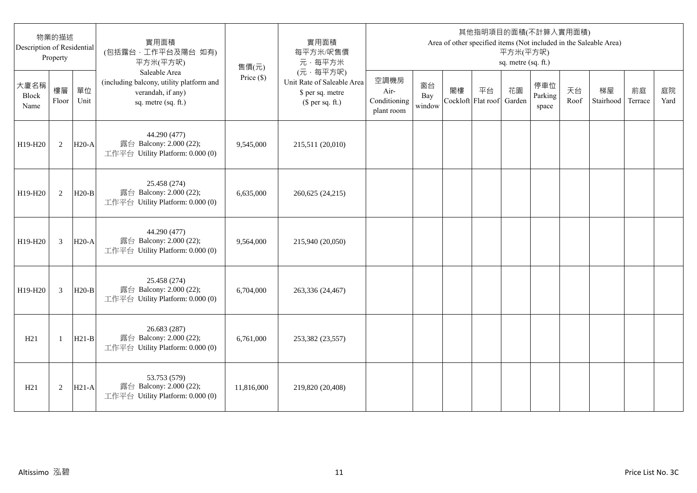| 物業的描述<br>Description of Residential<br>Property |                |            | 實用面積<br>(包括露台,工作平台及陽台 如有)<br>平方米(平方呎)                                                                 | 售價(元)        | 實用面積<br>每平方米/呎售價<br>元·每平方米                                                     | 其他指明項目的面積(不計算入實用面積)<br>Area of other specified items (Not included in the Saleable Area)<br>平方米(平方呎)<br>sq. metre (sq. ft.) |                     |                          |    |              |                         |            |                 |               |            |
|-------------------------------------------------|----------------|------------|-------------------------------------------------------------------------------------------------------|--------------|--------------------------------------------------------------------------------|-----------------------------------------------------------------------------------------------------------------------------|---------------------|--------------------------|----|--------------|-------------------------|------------|-----------------|---------------|------------|
| 大廈名稱<br>Block<br>Name                           | 樓層<br>Floor    | 單位<br>Unit | Saleable Area<br>(including balcony, utility platform and<br>verandah, if any)<br>sq. metre (sq. ft.) | Price $(\$)$ | (元·每平方呎)<br>Unit Rate of Saleable Area<br>\$ per sq. metre<br>$$$ per sq. ft.) | 空調機房<br>Air-<br>Conditioning<br>plant room                                                                                  | 窗台<br>Bay<br>window | 閣樓<br>Cockloft Flat roof | 平台 | 花園<br>Garden | 停車位<br>Parking<br>space | 天台<br>Roof | 梯屋<br>Stairhood | 前庭<br>Terrace | 庭院<br>Yard |
| H19-H20                                         | 2              | $H20-A$    | 44.290 (477)<br>露台 Balcony: 2.000 (22);<br>工作平台 Utility Platform: 0.000 (0)                           | 9,545,000    | 215,511 (20,010)                                                               |                                                                                                                             |                     |                          |    |              |                         |            |                 |               |            |
| H19-H20                                         | 2              | $H20-B$    | 25.458 (274)<br>露台 Balcony: 2.000 (22);<br>工作平台 Utility Platform: 0.000 (0)                           | 6,635,000    | 260,625 (24,215)                                                               |                                                                                                                             |                     |                          |    |              |                         |            |                 |               |            |
| H19-H20                                         | 3              | $H20-A$    | 44.290 (477)<br>露台 Balcony: 2.000 (22);<br>工作平台 Utility Platform: 0.000 (0)                           | 9,564,000    | 215,940 (20,050)                                                               |                                                                                                                             |                     |                          |    |              |                         |            |                 |               |            |
| H19-H20                                         | $\overline{3}$ | $H20-B$    | 25.458 (274)<br>露台 Balcony: 2.000 (22);<br>工作平台 Utility Platform: 0.000 (0)                           | 6,704,000    | 263,336 (24,467)                                                               |                                                                                                                             |                     |                          |    |              |                         |            |                 |               |            |
| H21                                             | $\mathbf{1}$   | $H21-B$    | 26.683 (287)<br>露台 Balcony: 2.000 (22);<br>工作平台 Utility Platform: 0.000 (0)                           | 6,761,000    | 253,382 (23,557)                                                               |                                                                                                                             |                     |                          |    |              |                         |            |                 |               |            |
| H21                                             | 2              | $H21-A$    | 53.753 (579)<br>露台 Balcony: 2.000 (22);<br>工作平台 Utility Platform: 0.000 (0)                           | 11,816,000   | 219,820 (20,408)                                                               |                                                                                                                             |                     |                          |    |              |                         |            |                 |               |            |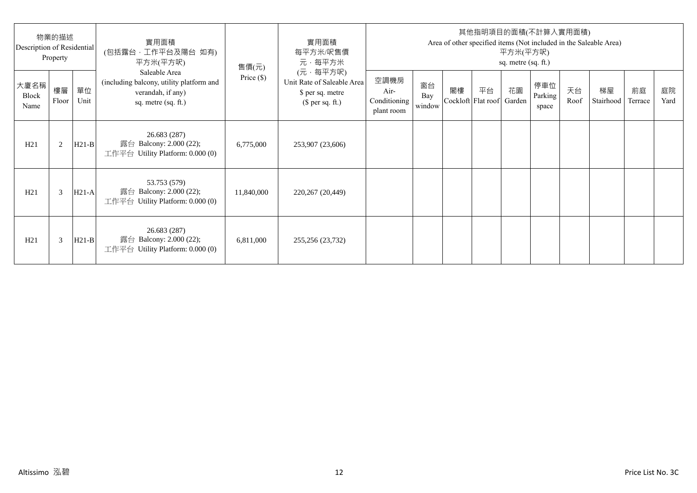| 物業的描述<br>Description of Residential<br>Property |             |            | 實用面積<br>(包括露台·工作平台及陽台 如有)<br>平方米(平方呎)                                                                 | 售價(元)        | 實用面積<br>每平方米/呎售價<br>元·每平方米                                                     | 其他指明項目的面積(不計算入實用面積)<br>Area of other specified items (Not included in the Saleable Area)<br>平方米(平方呎)<br>sq. metre (sq. ft.) |                     |    |                                 |    |                         |            |                 |               |            |
|-------------------------------------------------|-------------|------------|-------------------------------------------------------------------------------------------------------|--------------|--------------------------------------------------------------------------------|-----------------------------------------------------------------------------------------------------------------------------|---------------------|----|---------------------------------|----|-------------------------|------------|-----------------|---------------|------------|
| 大廈名稱<br>Block<br>Name                           | 樓層<br>Floor | 單位<br>Unit | Saleable Area<br>(including balcony, utility platform and<br>verandah, if any)<br>sq. metre (sq. ft.) | Price $(\$)$ | (元·每平方呎)<br>Unit Rate of Saleable Area<br>\$ per sq. metre<br>$$$ per sq. ft.) | 空調機房<br>Air-<br>Conditioning<br>plant room                                                                                  | 窗台<br>Bay<br>window | 閣樓 | 平台<br>Cockloft Flat roof Garden | 花園 | 停車位<br>Parking<br>space | 天台<br>Roof | 梯屋<br>Stairhood | 前庭<br>Terrace | 庭院<br>Yard |
| H21                                             | 2           | $H21-B$    | 26.683 (287)<br>露台 Balcony: 2.000 (22);<br>工作平台 Utility Platform: $0.000(0)$                          | 6,775,000    | 253,907 (23,606)                                                               |                                                                                                                             |                     |    |                                 |    |                         |            |                 |               |            |
| H21                                             | 3           | $H21-A$    | 53.753 (579)<br>露台 Balcony: 2.000 (22);<br>工作平台 Utility Platform: 0.000 (0)                           | 11,840,000   | 220,267 (20,449)                                                               |                                                                                                                             |                     |    |                                 |    |                         |            |                 |               |            |
| H21                                             | 3           | $H21-B$    | 26.683 (287)<br>露台 Balcony: 2.000 (22);<br>工作平台 Utility Platform: $0.000(0)$                          | 6,811,000    | 255,256 (23,732)                                                               |                                                                                                                             |                     |    |                                 |    |                         |            |                 |               |            |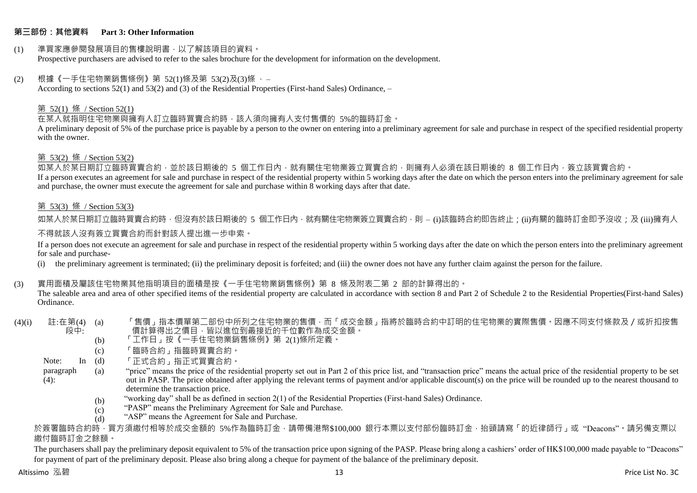#### **第三部份:其他資料 Part 3: Other Information**

#### (1) 準買家應參閱發展項目的售樓說明書,以了解該項目的資料。 Prospective purchasers are advised to refer to the sales brochure for the development for information on the development.

#### $(2)$  根據《一手住宅物業銷售條例》第 52(1)條及第 53(2)及(3)條,

According to sections 52(1) and 53(2) and (3) of the Residential Properties (First-hand Sales) Ordinance, –

#### 第 52(1) 條 / Section 52(1)

在某人就指明住宅物業與擁有人訂立臨時買賣合約時,該人須向擁有人支付售價的 5%的臨時訂金。

A preliminary deposit of 5% of the purchase price is payable by a person to the owner on entering into a preliminary agreement for sale and purchase in respect of the specified residential property with the owner.

#### 第 53(2) 條 / Section 53(2)

—————————————<br>如某人於某日期訂立臨時買賣合約,並於該日期後的 5 個工作日內,就有關住宅物業簽立買賣合約,則擁有人必須在該日期後的 8 個工作日內,簽立該買賣合約。 If a person executes an agreement for sale and purchase in respect of the residential property within 5 working days after the date on which the person enters into the preliminary agreement for sale and purchase, the owner must execute the agreement for sale and purchase within 8 working days after that date.

#### 第 53(3) 條 / Section 53(3)

如某人於某日期訂立臨時買賣合約時,但沒有於該日期後的 5 個工作日內,就有關住宅物業簽立買賣合約,則 – (i)該臨時合約即告終止;(ii)有關的臨時訂金即予沒收;及 (iii)擁有人

#### 不得就該人沒有簽立買賣合約而針對該人提出進一步申索。

If a person does not execute an agreement for sale and purchase in respect of the residential property within 5 working days after the date on which the person enters into the preliminary agreement for sale and purchase-

(i) the preliminary agreement is terminated; (ii) the preliminary deposit is forfeited; and (iii) the owner does not have any further claim against the person for the failure.

#### (3) 實用面積及屬該住宅物業其他指明項目的面積是按《一手住宅物業銷售條例》第 8 條及附表二第 2 部的計算得出的。

The saleable area and area of other specified items of the residential property are calculated in accordance with section 8 and Part 2 of Schedule 2 to the Residential Properties(First-hand Sales) Ordinance.

#### $(4)(i)$  註:在第 $(4)$   $(a)$ 段中: 「售價」指本價單第二部份中所列之住宅物業的售價,而「成交金額」指將於臨時合約中訂明的住宅物業的實際售價。因應不同支付條款及/或折扣按售 價計算得出之價目,皆以進位到最接近的千位數作為成交金額。

- (b) 「工作日」按《一手住宅物業銷售條例》第 2(1)條所定義。
- (c) 「臨時合約」指臨時買賣合約。
- Note:  $In (d)$ 「正式合約」指正式買賣合約。
- paragraph  $(4)$ : (a) "price" means the price of the residential property set out in Part 2 of this price list, and "transaction price" means the actual price of the residential property to be set out in PASP. The price obtained after applying the relevant terms of payment and/or applicable discount(s) on the price will be rounded up to the nearest thousand to determine the transaction price.
	- (b) "working day" shall be as defined in section 2(1) of the Residential Properties (First-hand Sales) Ordinance.
	- $(c)$ "PASP" means the Preliminary Agreement for Sale and Purchase.
	- (d) "ASP" means the Agreement for Sale and Purchase.

於簽署臨時合約時,買方須繳付相等於成交金額的 5%作為臨時訂金,請帶備港幣\$100,000 銀行本票以支付部份臨時訂金,抬頭請寫「的近律師行」或"Deacons"。請另備支票以 繳付臨時訂金之餘額。

The purchasers shall pay the preliminary deposit equivalent to 5% of the transaction price upon signing of the PASP. Please bring along a cashiers' order of HK\$100,000 made payable to "Deacons" for payment of part of the preliminary deposit. Please also bring along a cheque for payment of the balance of the preliminary deposit.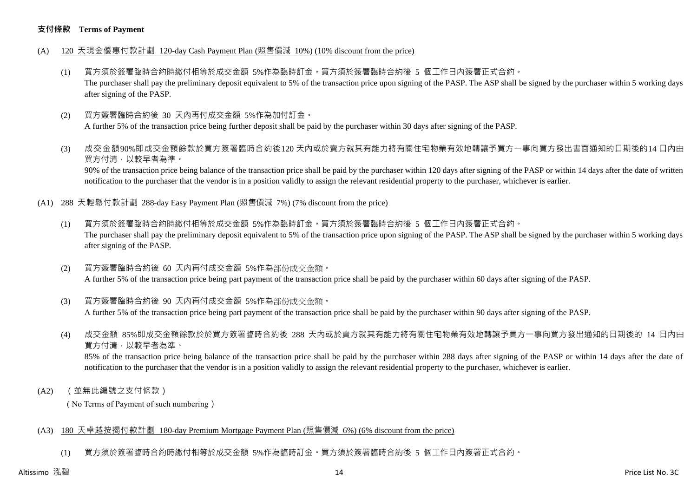#### **支付條款 Terms of Payment**

- (A) 120 天現金優惠付款計劃 120-day Cash Payment Plan (照售價減 10%) (10% discount from the price)
	- (1) 買方須於簽署臨時合約時繳付相等於成交金額 5%作為臨時訂金。買方須於簽署臨時合約後 5 個工作日內簽署正式合約。 The purchaser shall pay the preliminary deposit equivalent to 5% of the transaction price upon signing of the PASP. The ASP shall be signed by the purchaser within 5 working days after signing of the PASP.
	- (2) 買方簽署臨時合約後 30 天內再付成交金額 5%作為加付訂金。 A further 5% of the transaction price being further deposit shall be paid by the purchaser within 30 days after signing of the PASP.
	- (3) 成交金額90%即成交金額餘款於買方簽署臨時合約後120 天內或於賣方就其有能力將有關住宅物業有效地轉讓予買方一事向買方發出書面通知的日期後的14 日內由 買方付清,以較早者為準。

90% of the transaction price being balance of the transaction price shall be paid by the purchaser within 120 days after signing of the PASP or within 14 days after the date of written notification to the purchaser that the vendor is in a position validly to assign the relevant residential property to the purchaser, whichever is earlier.

- (A1) 288 天輕鬆付款計劃 288-day Easy Payment Plan (照售價減 7%) (7% discount from the price)
	- (1) 買方須於簽署臨時合約時繳付相等於成交金額 5%作為臨時訂金。買方須於簽署臨時合約後 5 個工作日內簽署正式合約。 The purchaser shall pay the preliminary deposit equivalent to 5% of the transaction price upon signing of the PASP. The ASP shall be signed by the purchaser within 5 working days after signing of the PASP.
	- (2) 買方簽署臨時合約後 60 天內再付成交金額 5%作為部份成交金額。 A further 5% of the transaction price being part payment of the transaction price shall be paid by the purchaser within 60 days after signing of the PASP.
	- (3) 買方簽署臨時合約後 90 天內再付成交金額 5%作為部份成交金額。

A further 5% of the transaction price being part payment of the transaction price shall be paid by the purchaser within 90 days after signing of the PASP.

(4) 成交金額 85%即成交金額餘款於於買方簽署臨時合約後 288 天內或於賣方就其有能力將有關住宅物業有效地轉讓予買方一事向買方發出通知的日期後的 14 日內由 買方付清,以較早者為準。

85% of the transaction price being balance of the transaction price shall be paid by the purchaser within 288 days after signing of the PASP or within 14 days after the date of notification to the purchaser that the vendor is in a position validly to assign the relevant residential property to the purchaser, whichever is earlier.

(A2) (並無此編號之支付條款)

( No Terms of Payment of such numbering)

#### (A3) 180 天卓越按揭付款計劃 180-day Premium Mortgage Payment Plan (照售價減 6%) (6% discount from the price)

(1) 買方須於簽署臨時合約時繳付相等於成交金額 5%作為臨時訂金。買方須於簽署臨時合約後 5 個工作日內簽署正式合約。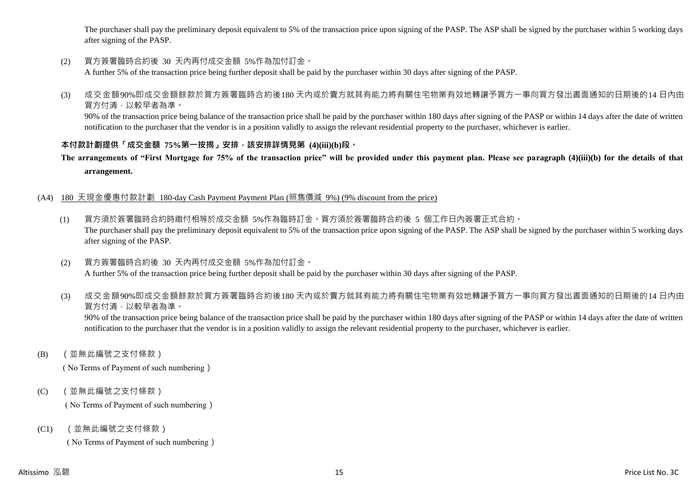The purchaser shall pay the preliminary deposit equivalent to 5% of the transaction price upon signing of the PASP. The ASP shall be signed by the purchaser within 5 working days after signing of the PASP.

(2) 買方簽署臨時合約後 30 天內再付成交金額 5%作為加付訂金。

A further 5% of the transaction price being further deposit shall be paid by the purchaser within 30 days after signing of the PASP.

(3) 成交金額90%即成交金額餘款於買方簽署臨時合約後180 天內或於賣方就其有能力將有關住宅物業有效地轉讓予買方一事向買方發出書面通知的日期後的14 日內由 買方付清,以較早者為準。

90% of the transaction price being balance of the transaction price shall be paid by the purchaser within 180 days after signing of the PASP or within 14 days after the date of written notification to the purchaser that the vendor is in a position validly to assign the relevant residential property to the purchaser, whichever is earlier.

### **本付款計劃提供「成交金額 75%第一按揭」安排,該安排詳情見第 (4)(iii)(b)段。**

**The arrangements of "First Mortgage for 75% of the transaction price" will be provided under this payment plan. Please see paragraph (4)(iii)(b) for the details of that arrangement.**

#### (A4) 180 天現金優惠付款計劃 180-day Cash Payment Payment Plan (照售價減 9%) (9% discount from the price)

- (1) 買方須於簽署臨時合約時繳付相等於成交金額 5%作為臨時訂金。買方須於簽署臨時合約後 5 個工作日內簽署正式合約。 The purchaser shall pay the preliminary deposit equivalent to 5% of the transaction price upon signing of the PASP. The ASP shall be signed by the purchaser within 5 working days after signing of the PASP.
- (2) 買方簽署臨時合約後 30 天內再付成交金額 5%作為加付訂金。 A further 5% of the transaction price being further deposit shall be paid by the purchaser within 30 days after signing of the PASP.
- (3) 成交金額90%即成交金額餘款於買方簽署臨時合約後180 天內或於賣方就其有能力將有關住宅物業有效地轉讓予買方一事向買方發出書面通知的日期後的14 日內由 買方付清,以較早者為準。

90% of the transaction price being balance of the transaction price shall be paid by the purchaser within 180 days after signing of the PASP or within 14 days after the date of written notification to the purchaser that the vendor is in a position validly to assign the relevant residential property to the purchaser, whichever is earlier.

(B) (並無此編號之支付條款)

( No Terms of Payment of such numbering)

(C) (並無此編號之支付條款)

( No Terms of Payment of such numbering)

(C1) (並無此編號之支付條款)

( No Terms of Payment of such numbering)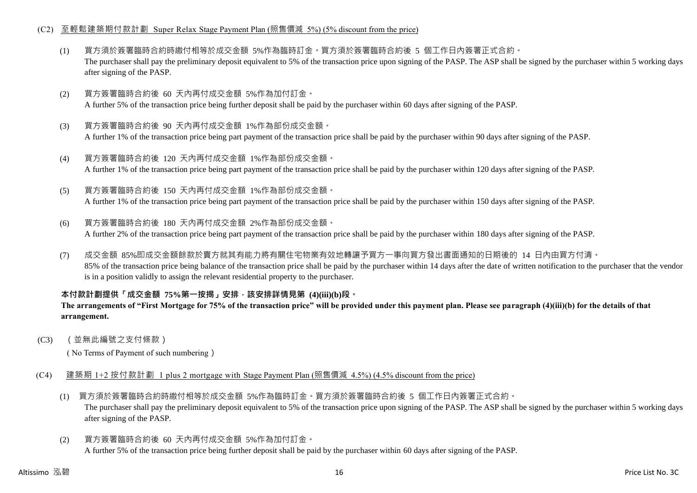#### (C2) 至輕鬆建築期付款計劃 Super Relax Stage Payment Plan (照售價減 5%) (5% discount from the price)

- (1) 買方須於簽署臨時合約時繳付相等於成交金額 5%作為臨時訂金。買方須於簽署臨時合約後 5 個工作日內簽署正式合約。 The purchaser shall pay the preliminary deposit equivalent to 5% of the transaction price upon signing of the PASP. The ASP shall be signed by the purchaser within 5 working days after signing of the PASP.
- (2) 買方簽署臨時合約後 60 天內再付成交金額 5%作為加付訂金。 A further 5% of the transaction price being further deposit shall be paid by the purchaser within 60 days after signing of the PASP.
- (3) 買方簽署臨時合約後 90 天內再付成交金額 1%作為部份成交金額。 A further 1% of the transaction price being part payment of the transaction price shall be paid by the purchaser within 90 days after signing of the PASP.
- (4) 買方簽署臨時合約後 120 天內再付成交金額 1%作為部份成交金額。 A further 1% of the transaction price being part payment of the transaction price shall be paid by the purchaser within 120 days after signing of the PASP.
- (5) 買方簽署臨時合約後 150 天內再付成交金額 1%作為部份成交金額。

A further 1% of the transaction price being part payment of the transaction price shall be paid by the purchaser within 150 days after signing of the PASP.

- (6) 買方簽署臨時合約後 180 天內再付成交金額 2%作為部份成交金額。 A further 2% of the transaction price being part payment of the transaction price shall be paid by the purchaser within 180 days after signing of the PASP.
- (7) 成交金額 85%即成交金額餘款於賣方就其有能力將有關住宅物業有效地轉讓予買方一事向買方發出書面通知的日期後的 14 日內由買方付清。 85% of the transaction price being balance of the transaction price shall be paid by the purchaser within 14 days after the date of written notification to the purchaser that the vendor is in a position validly to assign the relevant residential property to the purchaser.

### **本付款計劃提供「成交金額 75%第一按揭」安排,該安排詳情見第 (4)(iii)(b)段。**

#### **The arrangements of "First Mortgage for 75% of the transaction price" will be provided under this payment plan. Please see paragraph (4)(iii)(b) for the details of that arrangement.**

(C3) (並無此編號之支付條款)

( No Terms of Payment of such numbering)

- (C4) 建築期 1+2 按付款計劃 1 plus 2 mortgage with Stage Payment Plan (照售價減 4.5%) (4.5% discount from the price)
	- (1) 買方須於簽署臨時合約時繳付相等於成交金額 5%作為臨時訂金。買方須於簽署臨時合約後 5 個工作日內簽署正式合約。 The purchaser shall pay the preliminary deposit equivalent to 5% of the transaction price upon signing of the PASP. The ASP shall be signed by the purchaser within 5 working days after signing of the PASP.
	- (2) 買方簽署臨時合約後 60 天內再付成交金額 5%作為加付訂金。 A further 5% of the transaction price being further deposit shall be paid by the purchaser within 60 days after signing of the PASP.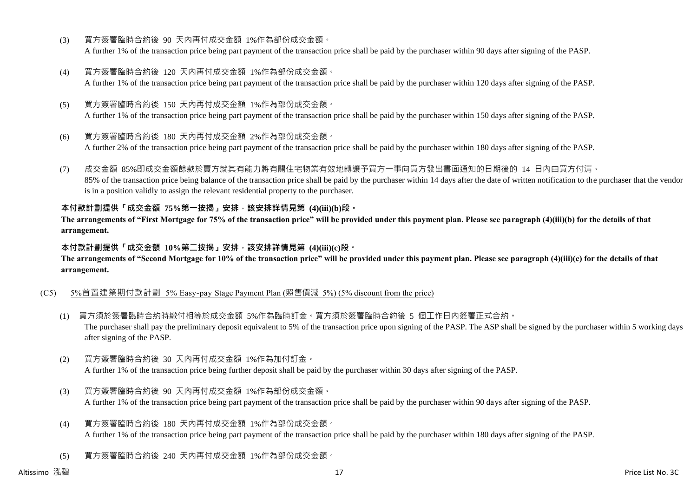- (3) 買方簽署臨時合約後 90 天內再付成交金額 1%作為部份成交金額。 A further 1% of the transaction price being part payment of the transaction price shall be paid by the purchaser within 90 days after signing of the PASP.
- (4) 買方簽署臨時合約後 120 天內再付成交金額 1%作為部份成交金額。 A further 1% of the transaction price being part payment of the transaction price shall be paid by the purchaser within 120 days after signing of the PASP.
- (5) 買方簽署臨時合約後 150 天內再付成交金額 1%作為部份成交金額。 A further 1% of the transaction price being part payment of the transaction price shall be paid by the purchaser within 150 days after signing of the PASP.
- (6) 買方簽署臨時合約後 180 天內再付成交金額 2%作為部份成交金額。

A further 2% of the transaction price being part payment of the transaction price shall be paid by the purchaser within 180 days after signing of the PASP.

(7) 成交金額 85%即成交金額餘款於賣方就其有能力將有關住宅物業有效地轉讓予買方一事向買方發出書面通知的日期後的 14 日內由買方付清。 85% of the transaction price being balance of the transaction price shall be paid by the purchaser within 14 days after the date of written notification to the purchaser that the vendor is in a position validly to assign the relevant residential property to the purchaser.

#### **本付款計劃提供「成交金額 75%第一按揭」安排,該安排詳情見第 (4)(iii)(b)段。**

**The arrangements of "First Mortgage for 75% of the transaction price" will be provided under this payment plan. Please see paragraph (4)(iii)(b) for the details of that arrangement.**

#### **本付款計劃提供「成交金額 10%第二按揭」安排,該安排詳情見第 (4)(iii)(c)段。**

**The arrangements of "Second Mortgage for 10% of the transaction price" will be provided under this payment plan. Please see paragraph (4)(iii)(c) for the details of that arrangement.**

#### (C5) 5%首置建築期付款計劃 5% Easy-pay Stage Payment Plan (照售價減 5%) (5% discount from the price)

- (1) 買方須於簽署臨時合約時繳付相等於成交金額 5%作為臨時訂金。買方須於簽署臨時合約後 5 個工作日內簽署正式合約。 The purchaser shall pay the preliminary deposit equivalent to 5% of the transaction price upon signing of the PASP. The ASP shall be signed by the purchaser within 5 working days after signing of the PASP.
- (2) 買方簽署臨時合約後 30 天內再付成交金額 1%作為加付訂金。 A further 1% of the transaction price being further deposit shall be paid by the purchaser within 30 days after signing of the PASP.
- (3) 買方簽署臨時合約後 90 天內再付成交金額 1%作為部份成交金額。 A further 1% of the transaction price being part payment of the transaction price shall be paid by the purchaser within 90 days after signing of the PASP.
- (4) 買方簽署臨時合約後 180 天內再付成交金額 1%作為部份成交金額。 A further 1% of the transaction price being part payment of the transaction price shall be paid by the purchaser within 180 days after signing of the PASP.
- (5) 買方簽署臨時合約後 240 天內再付成交金額 1%作為部份成交金額。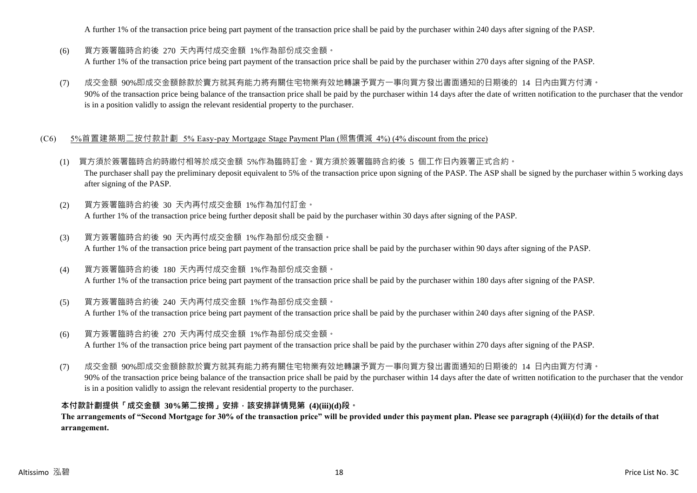A further 1% of the transaction price being part payment of the transaction price shall be paid by the purchaser within 240 days after signing of the PASP.

- (6) 買方簽署臨時合約後 270 天內再付成交金額 1%作為部份成交金額。 A further 1% of the transaction price being part payment of the transaction price shall be paid by the purchaser within 270 days after signing of the PASP.
- (7) 成交金額 90%即成交金額餘款於賣方就其有能力將有關住宅物業有效地轉讓予買方一事向買方發出書面通知的日期後的 14 日內由買方付清。 90% of the transaction price being balance of the transaction price shall be paid by the purchaser within 14 days after the date of written notification to the purchaser that the vendor is in a position validly to assign the relevant residential property to the purchaser.

#### (C6) 5%首置建築期二按付款計劃 5% Easy-pay Mortgage Stage Payment Plan (照售價減 4%) (4% discount from the price)

- (1) 買方須於簽署臨時合約時繳付相等於成交金額 5%作為臨時訂金。買方須於簽署臨時合約後 5 個工作日內簽署正式合約。 The purchaser shall pay the preliminary deposit equivalent to 5% of the transaction price upon signing of the PASP. The ASP shall be signed by the purchaser within 5 working days after signing of the PASP.
- (2) 買方簽署臨時合約後 30 天內再付成交金額 1%作為加付訂金。 A further 1% of the transaction price being further deposit shall be paid by the purchaser within 30 days after signing of the PASP.
- (3) 買方簽署臨時合約後 90 天內再付成交金額 1%作為部份成交金額。 A further 1% of the transaction price being part payment of the transaction price shall be paid by the purchaser within 90 days after signing of the PASP.
- (4) 買方簽署臨時合約後 180 天內再付成交金額 1%作為部份成交金額。 A further 1% of the transaction price being part payment of the transaction price shall be paid by the purchaser within 180 days after signing of the PASP.
- (5) 買方簽署臨時合約後 240 天內再付成交金額 1%作為部份成交金額。 A further 1% of the transaction price being part payment of the transaction price shall be paid by the purchaser within 240 days after signing of the PASP.
- (6) 買方簽署臨時合約後 270 天內再付成交金額 1%作為部份成交金額。 A further 1% of the transaction price being part payment of the transaction price shall be paid by the purchaser within 270 days after signing of the PASP.
- (7) 成交金額 90%即成交金額餘款於賣方就其有能力將有關住宅物業有效地轉讓予買方一事向買方發出書面通知的日期後的 14 日內由買方付清。 90% of the transaction price being balance of the transaction price shall be paid by the purchaser within 14 days after the date of written notification to the purchaser that the vendor is in a position validly to assign the relevant residential property to the purchaser.

#### **本付款計劃提供「成交金額 30%第二按揭」安排,該安排詳情見第 (4)(iii)(d)段。**

**The arrangements of "Second Mortgage for 30% of the transaction price" will be provided under this payment plan. Please see paragraph (4)(iii)(d) for the details of that arrangement.**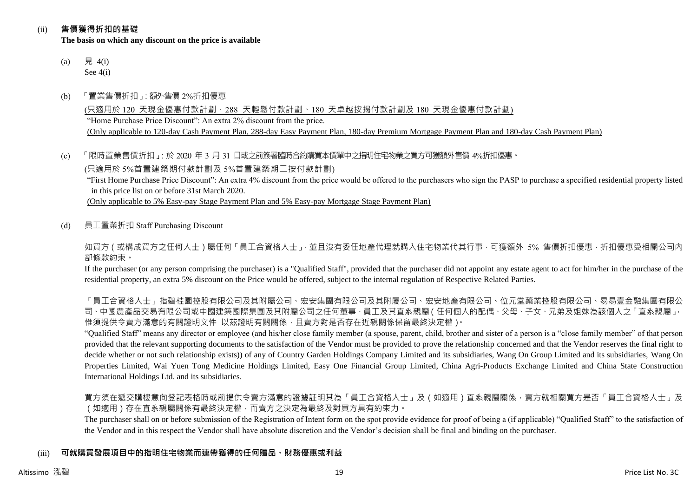#### (ii) **售價獲得折扣的基礎**

**The basis on which any discount on the price is available**

- (a) 見 4(i) See 4(i)
- (b) 「置業售價折扣」:額外售價 2%折扣優惠

(只適用於 120 天現金優惠付款計劃、288 天輕鬆付款計劃、180 天卓越按揭付款計劃及 180 天現金優惠付款計劃) "Home Purchase Price Discount": An extra 2% discount from the price. (Only applicable to 120-day Cash Payment Plan, 288-day Easy Payment Plan, 180-day Premium Mortgage Payment Plan and 180-day Cash Payment Plan)

#### (c) 「限時置業售價折扣」:於 2020 年 3 月 31 日或之前簽署臨時合約購買本價單中之指明住宅物業之買方可獲額外售價 4%折扣優惠。

(只適用於 5%首置建築期付款計劃及 5%首置建築期二按付款計劃)

"First Home Purchase Price Discount": An extra 4% discount from the price would be offered to the purchasers who sign the PASP to purchase a specified residential property listed in this price list on or before 31st March 2020.

(Only applicable to 5% Easy-pay Stage Payment Plan and 5% Easy-pay Mortgage Stage Payment Plan)

(d) 員工置業折扣 Staff Purchasing Discount

如買方(或構成買方之任何人士)屬任何「員工合資格人士」,並且沒有委任地產代理就購入住宅物業代其行事,可獲額外 5% 售價折扣優惠,折扣優惠受相關公司內 部條款約束。

If the purchaser (or any person comprising the purchaser) is a "Qualified Staff", provided that the purchaser did not appoint any estate agent to act for him/her in the purchase of the residential property, an extra 5% discount on the Price would be offered, subject to the internal regulation of Respective Related Parties.

「員工合資格人士」指碧桂園控股有限公司及其附屬公司、宏安集團有限公司及其附屬公司、宏安地產有限公司、位元堂藥業控股有限公司、易易壹金融集團有限公 司、中國農產品交易有限公司或中國建築國際集團及其附屬公司之任何董事、員工及其直系親屬(任何個人的配偶、父母、子女、兄弟及姐妹為該個人之「直系親屬」, 惟須提供令賣方滿意的有關證明文件 以茲證明有關關係,且賣方對是否存在近親關係保留最終決定權)。

"Qualified Staff" means any director or employee (and his/her close family member (a spouse, parent, child, brother and sister of a person is a "close family member" of that person provided that the relevant supporting documents to the satisfaction of the Vendor must be provided to prove the relationship concerned and that the Vendor reserves the final right to decide whether or not such relationship exists)) of any of Country Garden Holdings Company Limited and its subsidiaries, Wang On Group Limited and its subsidiaries, Wang On Properties Limited, Wai Yuen Tong Medicine Holdings Limited, Easy One Financial Group Limited, China Agri-Products Exchange Limited and China State Construction International Holdings Ltd. and its subsidiaries.

買方須在遞交購樓意向登記表格時或前提供令賣方滿意的證據証明其為「員工合資格人士」及(如適用)直系親屬關係,賣方就相關買方是否「員工合資格人士」及 (如適用)存在直系親屬關係有最終決定權,而賣方之決定為最終及對買方具有約束力。

The purchaser shall on or before submission of the Registration of Intent form on the spot provide evidence for proof of being a (if applicable) "Qualified Staff" to the satisfaction of the Vendor and in this respect the Vendor shall have absolute discretion and the Vendor's decision shall be final and binding on the purchaser.

## (iii) **可就購買發展項目中的指明住宅物業而連帶獲得的任何贈品、財務優惠或利益**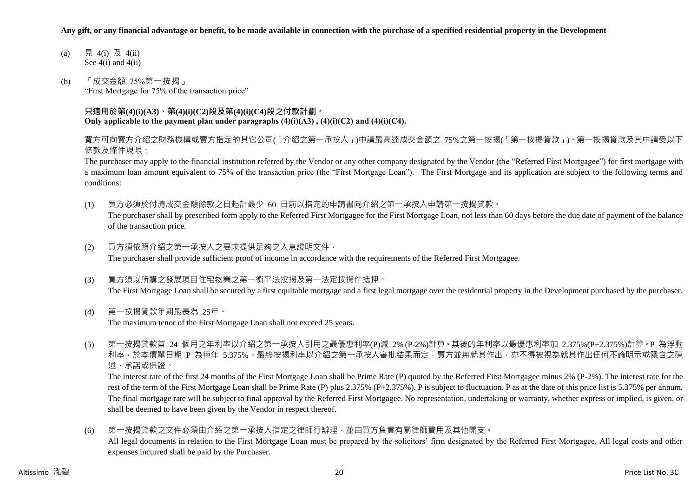#### **Any gift, or any financial advantage or benefit, to be made available in connection with the purchase of a specified residential property in the Development**

- (a) 見 4(i) 及 4(ii) See  $4(i)$  and  $4(ii)$
- (b) 「成交金額 75%第一按揭」 "First Mortgage for 75% of the transaction price"

#### **只適用於第(4)(i)(A3)、第(4)(i)(C2)段及第(4)(i)(C4)段之付款計劃。 Only applicable to the payment plan under paragraphs (4)(i)(A3) , (4)(i)(C2) and (4)(i)(C4).**

買方可向賣方介紹之財務機構或賣方指定的其它公司(「介紹之第一承按人」)申請最高達成交金額之 75%之第一按揭(「第一按揭貸款」)。第一按揭貸款及其申請受以下 條款及條件規限:

The purchaser may apply to the financial institution referred by the Vendor or any other company designated by the Vendor (the "Referred First Mortgagee") for first mortgage with a maximum loan amount equivalent to 75% of the transaction price (the "First Mortgage Loan"). The First Mortgage and its application are subject to the following terms and conditions:

(1) 買方必須於付清成交金額餘款之日起計最少 60 日前以指定的申請書向介紹之第一承按人申請第一按揭貸款。

The purchaser shall by prescribed form apply to the Referred First Mortgagee for the First Mortgage Loan, not less than 60 days before the due date of payment of the balance of the transaction price.

(2) 買方須依照介紹之第一承按人之要求提供足夠之入息證明文件。

The purchaser shall provide sufficient proof of income in accordance with the requirements of the Referred First Mortgagee.

- (3) 買方須以所購之發展項目住宅物業之第一衡平法按揭及第一法定按揭作抵押。 The First Mortgage Loan shall be secured by a first equitable mortgage and a first legal mortgage over the residential property in the Development purchased by the purchaser.
- (4) 第一按揭貸款年期最長為 25年。

The maximum tenor of the First Mortgage Loan shall not exceed 25 years.

(5) 第一按揭貸款首 24 個月之年利率以介紹之第一承按人引用之最優惠利率(P)減 2% (P-2%)計算。其後的年利率以最優惠利率加 2.375%(P+2.375%)計算。P 為浮動 利率,於本價單日期 P 為每年 5.375%。最終按揭利率以介紹之第一承按人審批結果而定,賣方並無就其作出,亦不得被視為就其作出任何不論明示或隱含之陳 述、承諾或保證。

The interest rate of the first 24 months of the First Mortgage Loan shall be Prime Rate (P) quoted by the Referred First Mortgagee minus 2% (P-2%). The interest rate for the rest of the term of the First Mortgage Loan shall be Prime Rate (P) plus 2.375% (P+2.375%). P is subject to fluctuation. P as at the date of this price list is 5.375% per annum. The final mortgage rate will be subject to final approval by the Referred First Mortgagee. No representation, undertaking or warranty, whether express or implied, is given, or shall be deemed to have been given by the Vendor in respect thereof.

(6) 第一按揭貸款之文件必須由介紹之第一承按人指定之律師行辦理,並由買方負責有關律師費用及其他開支。

All legal documents in relation to the First Mortgage Loan must be prepared by the solicitors' firm designated by the Referred First Mortgagee. All legal costs and other expenses incurred shall be paid by the Purchaser.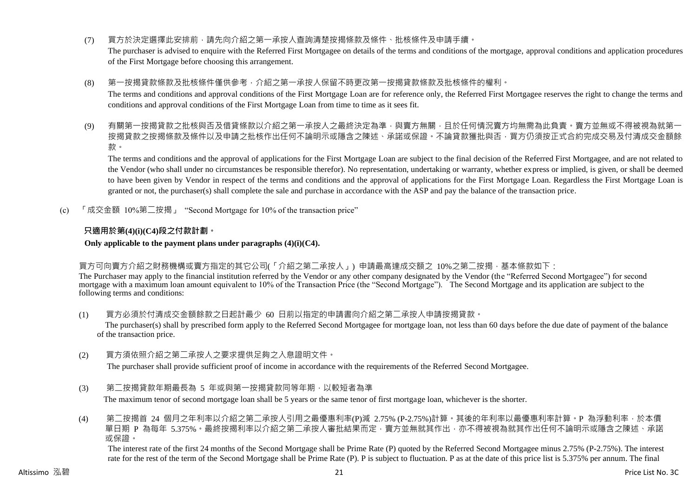(7) 買方於決定選擇此安排前,請先向介紹之第一承按人查詢清楚按揭條款及條件、批核條件及申請手續。

The purchaser is advised to enquire with the Referred First Mortgagee on details of the terms and conditions of the mortgage, approval conditions and application procedures of the First Mortgage before choosing this arrangement.

(8) 第一按揭貸款條款及批核條件僅供參考,介紹之第一承按人保留不時更改第一按揭貸款條款及批核條件的權利。

The terms and conditions and approval conditions of the First Mortgage Loan are for reference only, the Referred First Mortgagee reserves the right to change the terms and conditions and approval conditions of the First Mortgage Loan from time to time as it sees fit.

(9) 有關第一按揭貸款之批核與否及借貸條款以介紹之第一承按人之最終決定為準,與賣方無關,且於任何情況賣方均無需為此負責。賣方並無或不得被視為就第-按揭貸款之按揭條款及條件以及申請之批核作出任何不論明示或隱含之陳述、承諾或保證。不論貸款獲批與否,買方仍須按正式合約完成交易及付清成交金額餘 款。

The terms and conditions and the approval of applications for the First Mortgage Loan are subject to the final decision of the Referred First Mortgagee, and are not related to the Vendor (who shall under no circumstances be responsible therefor). No representation, undertaking or warranty, whether express or implied, is given, or shall be deemed to have been given by Vendor in respect of the terms and conditions and the approval of applications for the First Mortgage Loan. Regardless the First Mortgage Loan is granted or not, the purchaser(s) shall complete the sale and purchase in accordance with the ASP and pay the balance of the transaction price.

(c) 「成交金額 10%第二按揭」 "Second Mortgage for 10% of the transaction price"

#### **只適用於第(4)(i)(C4)段之付款計劃。**

**Only applicable to the payment plans under paragraphs (4)(i)(C4).**

買方可向賣方介紹之財務機構或賣方指定的其它公司(「介紹之第二承按人」) 申請最高達成交額之 10%之第二按揭,基本條款如下:

The Purchaser may apply to the financial institution referred by the Vendor or any other company designated by the Vendor (the "Referred Second Mortgagee") for second mortgage with a maximum loan amount equivalent to 10% of the Transaction Price (the "Second Mortgage"). The Second Mortgage and its application are subject to the following terms and conditions:

(1) 買方必須於付清成交金額餘款之日起計最少 60 日前以指定的申請書向介紹之第二承按人申請按揭貸款。

The purchaser(s) shall by prescribed form apply to the Referred Second Mortgagee for mortgage loan, not less than 60 days before the due date of payment of the balance of the transaction price.

(2) 買方須依照介紹之第二承按人之要求提供足夠之入息證明文件。

The purchaser shall provide sufficient proof of income in accordance with the requirements of the Referred Second Mortgagee.

(3) 第二按揭貸款年期最長為 5 年或與第一按揭貸款同等年期,以較短者為準

The maximum tenor of second mortgage loan shall be 5 years or the same tenor of first mortgage loan, whichever is the shorter.

(4) 第二按揭首 24 個月之年利率以介紹之第二承按人引用之最優惠利率(P)減 2.75% (P-2.75%)計算。其後的年利率以最優惠利率計算。P 為浮動利率,於本價 單日期 P 為每年 5.375%。最終按揭利率以介紹之第二承按人審批結果而定,賣方並無就其作出,亦不得被視為就其作出任何不論明示或隱含之陳述、承諾 或保證。

The interest rate of the first 24 months of the Second Mortgage shall be Prime Rate (P) quoted by the Referred Second Mortgagee minus 2.75% (P-2.75%). The interest rate for the rest of the term of the Second Mortgage shall be Prime Rate (P). P is subject to fluctuation. P as at the date of this price list is 5.375% per annum. The final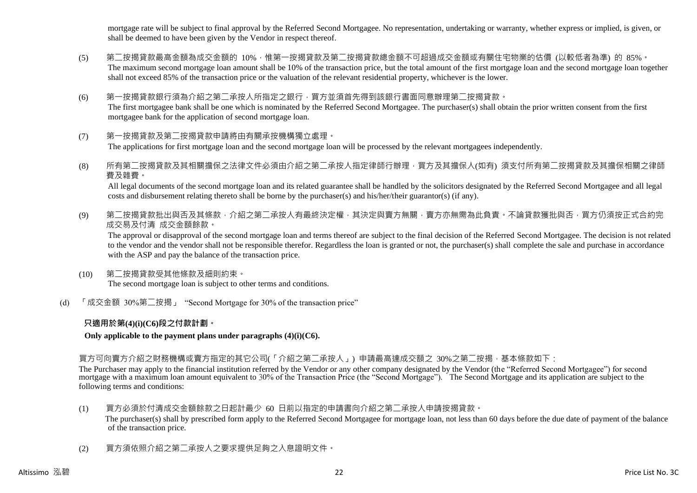mortgage rate will be subject to final approval by the Referred Second Mortgagee. No representation, undertaking or warranty, whether express or implied, is given, or shall be deemed to have been given by the Vendor in respect thereof.

- (5) 第二按揭貸款最高金額為成交金額的 10%, 惟第一按揭貸款及第二按揭貸款總金額不可超過成交金額或有關住宅物業的估價 (以較低者為準) 的 85%。 The maximum second mortgage loan amount shall be 10% of the transaction price, but the total amount of the first mortgage loan and the second mortgage loan together shall not exceed 85% of the transaction price or the valuation of the relevant residential property, whichever is the lower.
- (6) 第一按揭貸款銀行須為介紹之第二承按人所指定之銀行,買方並須首先得到該銀行書面同意辦理第二按揭貸款。 The first mortgagee bank shall be one which is nominated by the Referred Second Mortgagee. The purchaser(s) shall obtain the prior written consent from the first mortgagee bank for the application of second mortgage loan.
- (7) 第一按揭貸款及第二按揭貸款申請將由有關承按機構獨立處理。 The applications for first mortgage loan and the second mortgage loan will be processed by the relevant mortgagees independently.
- (8) 所有第二按揭貸款及其相關擔保之法律文件必須由介紹之第二承按人指定律師行辦理,買方及其擔保人(如有) 須支付所有第二按揭貸款及其擔保相關之律師 費及雜費。

All legal documents of the second mortgage loan and its related guarantee shall be handled by the solicitors designated by the Referred Second Mortgagee and all legal costs and disbursement relating thereto shall be borne by the purchaser(s) and his/her/their guarantor(s) (if any).

(9) 第二按揭貸款批出與否及其條款,介紹之第二承按人有最終決定權,其決定與賣方無關,賣方亦無需為此負責。不論貸款獲批與否,買方仍須按正式合約完 成交易及付清 成交金額餘款。

The approval or disapproval of the second mortgage loan and terms thereof are subject to the final decision of the Referred Second Mortgagee. The decision is not related to the vendor and the vendor shall not be responsible therefor. Regardless the loan is granted or not, the purchaser(s) shall complete the sale and purchase in accordance with the ASP and pay the balance of the transaction price.

- (10) 第二按揭貸款受其他條款及細則約束。 The second mortgage loan is subject to other terms and conditions.
- (d) 「成交金額 30%第二按揭」 "Second Mortgage for 30% of the transaction price"

### **只適用於第(4)(i)(C6)段之付款計劃。**

**Only applicable to the payment plans under paragraphs (4)(i)(C6).**

#### 買方可向賣方介紹之財務機構或賣方指定的其它公司(「介紹之第二承按人」) 申請最高達成交額之 30%之第二按揭,基本條款如下:

The Purchaser may apply to the financial institution referred by the Vendor or any other company designated by the Vendor (the "Referred Second Mortgagee") for second mortgage with a maximum loan amount equivalent to 30% of the Transaction Price (the "Second Mortgage"). The Second Mortgage and its application are subject to the following terms and conditions:

- (1) 買方必須於付清成交金額餘款之日起計最少 60 日前以指定的申請書向介紹之第二承按人申請按揭貸款。 The purchaser(s) shall by prescribed form apply to the Referred Second Mortgagee for mortgage loan, not less than 60 days before the due date of payment of the balance of the transaction price.
- (2) 買方須依照介紹之第二承按人之要求提供足夠之入息證明文件。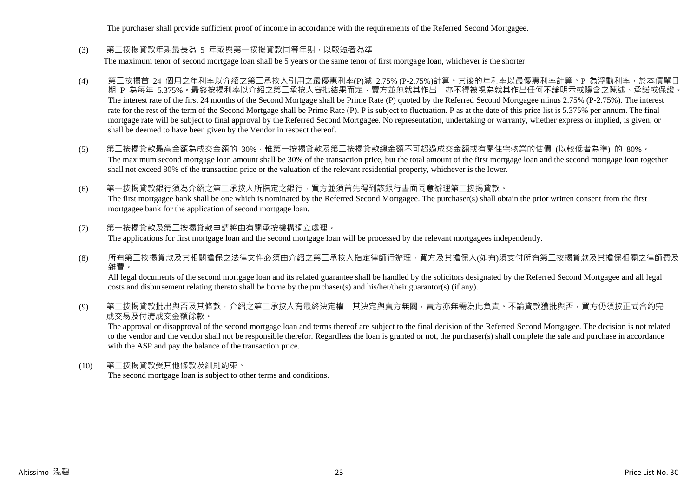The purchaser shall provide sufficient proof of income in accordance with the requirements of the Referred Second Mortgagee.

(3) 第二按揭貸款年期最長為 5 年或與第一按揭貸款同等年期,以較短者為準

The maximum tenor of second mortgage loan shall be 5 years or the same tenor of first mortgage loan, whichever is the shorter.

- (4) 第二按揭首 24 個月之年利率以介紹之第二承按人引用之最優惠利率(P)減 2.75% (P-2.75%)計算。其後的年利率以最優惠利率計算。P 為浮動利率,於本價單日 期 P 為每年 5.375%。最終按揭利率以介紹之第二承按人審批結果而定,賣方並無就其作出,亦不得被視為就其作出任何不論明示或隱含之陳述、承諾或保證。 The interest rate of the first 24 months of the Second Mortgage shall be Prime Rate (P) quoted by the Referred Second Mortgagee minus 2.75% (P-2.75%). The interest rate for the rest of the term of the Second Mortgage shall be Prime Rate (P). P is subject to fluctuation. P as at the date of this price list is 5.375% per annum. The final mortgage rate will be subject to final approval by the Referred Second Mortgagee. No representation, undertaking or warranty, whether express or implied, is given, or shall be deemed to have been given by the Vendor in respect thereof.
- (5) 第二按揭貸款最高金額為成交金額的 30%,惟第一按揭貸款及第二按揭貸款總金額不可超過成交金額或有關住宅物業的估價 (以較低者為準) 的 80%。 The maximum second mortgage loan amount shall be 30% of the transaction price, but the total amount of the first mortgage loan and the second mortgage loan together shall not exceed 80% of the transaction price or the valuation of the relevant residential property, whichever is the lower.
- (6) 第一按揭貸款銀行須為介紹之第二承按人所指定之銀行,買方並須首先得到該銀行書面同意辦理第二按揭貸款。 The first mortgagee bank shall be one which is nominated by the Referred Second Mortgagee. The purchaser(s) shall obtain the prior written consent from the first mortgagee bank for the application of second mortgage loan.
- (7) 第一按揭貸款及第二按揭貸款申請將由有關承按機構獨立處理。 The applications for first mortgage loan and the second mortgage loan will be processed by the relevant mortgagees independently.
- (8) 所有第二按揭貸款及其相關擔保之法律文件必須由介紹之第二承按人指定律師行辦理,買方及其擔保人(如有)須支付所有第二按揭貸款及其擔保相關之律師費及 雜費。

All legal documents of the second mortgage loan and its related guarantee shall be handled by the solicitors designated by the Referred Second Mortgagee and all legal costs and disbursement relating thereto shall be borne by the purchaser(s) and his/her/their guarantor(s) (if any).

(9) 第二按揭貸款批出與否及其條款,介紹之第二承按人有最終決定權,其決定與賣方無關,賣方亦無需為此負責。不論貸款獲批與否,買方仍須按正式合約完 成交易及付清成交金額餘款。

The approval or disapproval of the second mortgage loan and terms thereof are subject to the final decision of the Referred Second Mortgagee. The decision is not related to the vendor and the vendor shall not be responsible therefor. Regardless the loan is granted or not, the purchaser(s) shall complete the sale and purchase in accordance with the ASP and pay the balance of the transaction price.

(10) 第二按揭貸款受其他條款及細則約束。 The second mortgage loan is subject to other terms and conditions.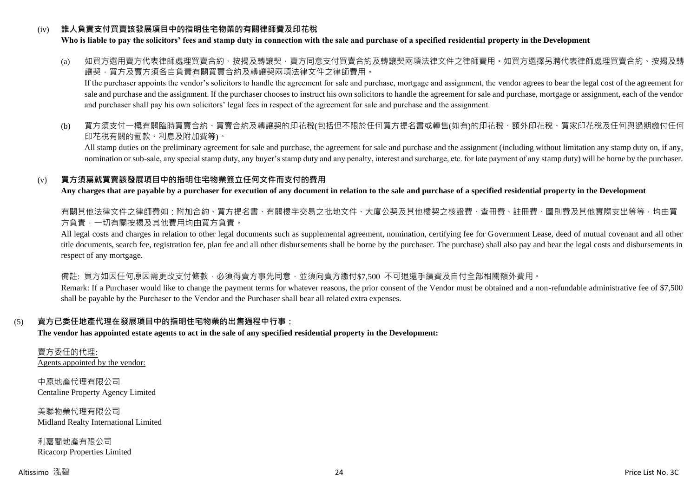#### (iv) **誰人負責支付買賣該發展項目中的指明住宅物業的有關律師費及印花稅**

#### **Who is liable to pay the solicitors' fees and stamp duty in connection with the sale and purchase of a specified residential property in the Development**

(a) 如買方選用賣方代表律師處理買賣合約、按揭及轉讓契‧賣方同意支付買賣合約及轉讓契兩項法律文件之律師費用。如買方選擇另聘代表律師處理買賣合約、按揭及轉 讓契,買方及賣方須各自負責有關買賣合約及轉讓契兩項法律文件之律師費用。

If the purchaser appoints the vendor's solicitors to handle the agreement for sale and purchase, mortgage and assignment, the vendor agrees to bear the legal cost of the agreement for sale and purchase and the assignment. If the purchaser chooses to instruct his own solicitors to handle the agreement for sale and purchase, mortgage or assignment, each of the vendor and purchaser shall pay his own solicitors' legal fees in respect of the agreement for sale and purchase and the assignment.

(b) 買方須支付一概有關臨時買賣合約、買賣合約及轉讓契的印花稅(包括但不限於任何買方提名書或轉售(如有)的印花稅、額外印花稅、買家印花稅及任何與過期繳付任何 印花稅有關的罰款、利息及附加費等)。

All stamp duties on the preliminary agreement for sale and purchase, the agreement for sale and purchase and the assignment (including without limitation any stamp duty on, if any, nomination or sub-sale, any special stamp duty, any buyer's stamp duty and any penalty, interest and surcharge, etc. for late payment of any stamp duty) will be borne by the purchaser.

#### (v) **買方須爲就買賣該發展項目中的指明住宅物業簽立任何文件而支付的費用**

**Any charges that are payable by a purchaser for execution of any document in relation to the sale and purchase of a specified residential property in the Development**

有關其他法律文件之律師費如:附加合約、買方提名書、有關樓宇交易之批地文件、大廈公契及其他樓契之核證費、查冊費、註冊費、圖則費及其他實際支出等等,均由買 方負責,一切有關按揭及其他費用均由買方負責。

All legal costs and charges in relation to other legal documents such as supplemental agreement, nomination, certifying fee for Government Lease, deed of mutual covenant and all other title documents, search fee, registration fee, plan fee and all other disbursements shall be borne by the purchaser. The purchase) shall also pay and bear the legal costs and disbursements in respect of any mortgage.

備註: 買方如因任何原因需更改支付條款,必須得賣方事先同意,並須向賣方繳付\$7,500 不可退還手續費及自付全部相關額外費用。

Remark: If a Purchaser would like to change the payment terms for whatever reasons, the prior consent of the Vendor must be obtained and a non-refundable administrative fee of \$7,500 shall be payable by the Purchaser to the Vendor and the Purchaser shall bear all related extra expenses.

#### (5) **賣方已委任地產代理在發展項目中的指明住宅物業的出售過程中行事:**

**The vendor has appointed estate agents to act in the sale of any specified residential property in the Development:**

賣方委任的代理: Agents appointed by the vendor:

中原地產代理有限公司 Centaline Property Agency Limited

美聯物業代理有限公司 Midland Realty International Limited

利嘉閣地產有限公司 Ricacorp Properties Limited